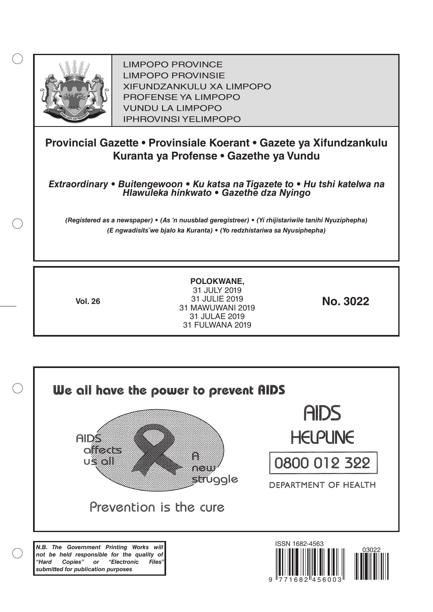

LIMPOPO PROVINCE LIMPOPO PROVINSIE XIFUNDZANKULU XA LIMPOPO PROFENSE YA LIMPOPO VUNDU LA LIMPOPO IPHROVINSI YELIMPOPO

# **Provincial Gazette • Provinsiale Koerant • Gazete ya Xifundzankulu Kuranta ya Profense • Gazethe ya Vundu**

*Extraordinary • Buitengewoon • Ku katsa na Tigazete to • Hu tshi katelwa na Hlawuleka hinkwato • Gazethe dza Nyingo*

*(Registered as a newspaper) • (As 'n nuusblad geregistreer) • (Yi rhijistariwile tanihi Nyuziphepha) (E ngwadisitsˇwe bjalo ka Kuranta) • (Yo redzhistariwa sa Nyusiphepha)*

**POLOKWANE,** 31 JULY 2019 31 JULIE 2019 31 MAWUWANI 2019 31 JULAE 2019 31 FULWANA 2019 **Vol. 26 No. 3022**

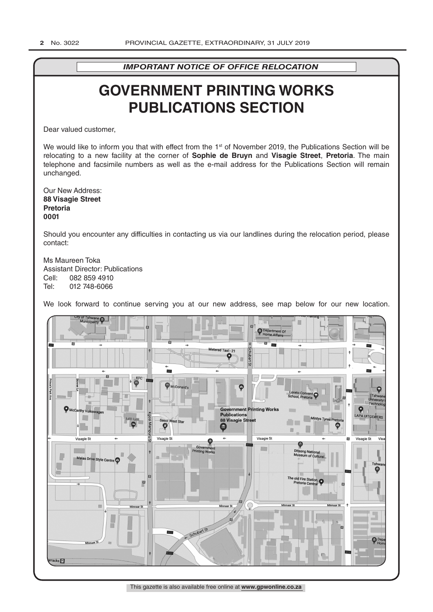*IMPORTANT NOTICE OF OFFICE RELOCATION*

# **GOVERNMENT PRINTING WORKS PUBLICATIONS SECTION**

Dear valued customer,

We would like to inform you that with effect from the 1<sup>st</sup> of November 2019, the Publications Section will be relocating to a new facility at the corner of **Sophie de Bruyn** and **Visagie Street**, **Pretoria**. The main telephone and facsimile numbers as well as the e-mail address for the Publications Section will remain unchanged.

Our New Address: **88 Visagie Street Pretoria 0001**

Should you encounter any difficulties in contacting us via our landlines during the relocation period, please contact:

Ms Maureen Toka Assistant Director: Publications Cell: 082 859 4910 Tel: 012 748-6066

We look forward to continue serving you at our new address, see map below for our new location.

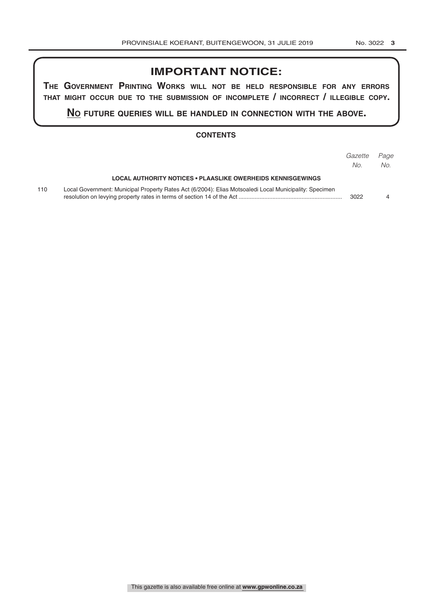## **IMPORTANT NOTICE:**

**The GovernmenT PrinTinG Works Will noT be held resPonsible for any errors ThaT miGhT occur due To The submission of incomPleTe / incorrecT / illeGible coPy.**

**no fuTure queries Will be handled in connecTion WiTh The above.**

#### **CONTENTS**

|     |                                                                                                        | Gazette | Page |
|-----|--------------------------------------------------------------------------------------------------------|---------|------|
|     |                                                                                                        | No.     | No.  |
|     | <b>LOCAL AUTHORITY NOTICES • PLAASLIKE OWERHEIDS KENNISGEWINGS</b>                                     |         |      |
| 110 | Local Government: Municipal Property Rates Act (6/2004): Elias Motsoaledi Local Municipality: Specimen | 3022    |      |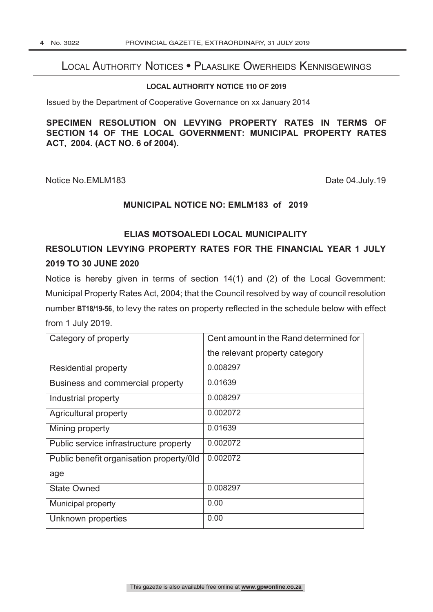## Local Authority Notices • Plaaslike Owerheids Kennisgewings

#### **LOCAL AUTHORITY NOTICE 110 OF 2019**

Issued by the Department of Cooperative Governance on xx January 2014

### **SPECIMEN RESOLUTION ON LEVYING PROPERTY RATES IN TERMS OF SECTION 14 OF THE LOCAL GOVERNMENT: MUNICIPAL PROPERTY RATES ACT, 2004. (ACT NO. 6 of 2004).**

Notice No.EMLM183 Date 04.July.19

#### **MUNICIPAL NOTICE NO: EMLM183 of 2019**

## **ELIAS MOTSOALEDI LOCAL MUNICIPALITY**

## **RESOLUTION LEVYING PROPERTY RATES FOR THE FINANCIAL YEAR 1 JULY 2019 TO 30 JUNE 2020**

Notice is hereby given in terms of section 14(1) and (2) of the Local Government: Municipal Property Rates Act, 2004; that the Council resolved by way of council resolution number **BT18/19-56**, to levy the rates on property reflected in the schedule below with effect from 1 July 2019.

| Category of property                     | Cent amount in the Rand determined for |  |  |
|------------------------------------------|----------------------------------------|--|--|
|                                          | the relevant property category         |  |  |
| <b>Residential property</b>              | 0.008297                               |  |  |
| Business and commercial property         | 0.01639                                |  |  |
| Industrial property                      | 0.008297                               |  |  |
| Agricultural property                    | 0.002072                               |  |  |
| Mining property                          | 0.01639                                |  |  |
| Public service infrastructure property   | 0.002072                               |  |  |
| Public benefit organisation property/0ld | 0.002072                               |  |  |
| age                                      |                                        |  |  |
| <b>State Owned</b>                       | 0.008297                               |  |  |
| Municipal property                       | 0.00                                   |  |  |
| Unknown properties                       | 0.00                                   |  |  |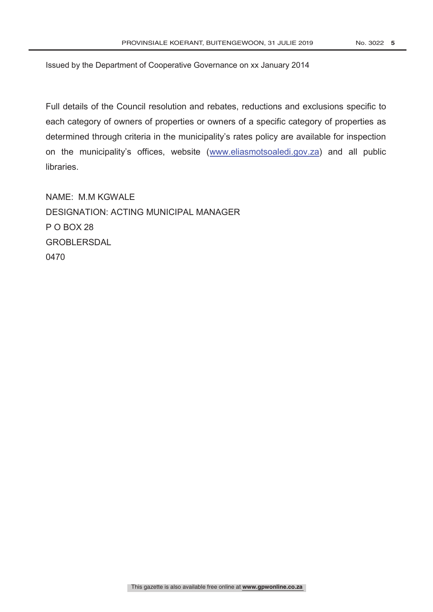Issued by the Department of Cooperative Governance on xx January 2014

Full details of the Council resolution and rebates, reductions and exclusions specific to each category of owners of properties or owners of a specific category of properties as determined through criteria in the municipality's rates policy are available for inspection on the municipality's offices, website (www.eliasmotsoaledi.gov.za) and all public libraries.

NAME: M.M KGWALE DESIGNATION: ACTING MUNICIPAL MANAGER P O BOX 28 GROBLERSDAL 0470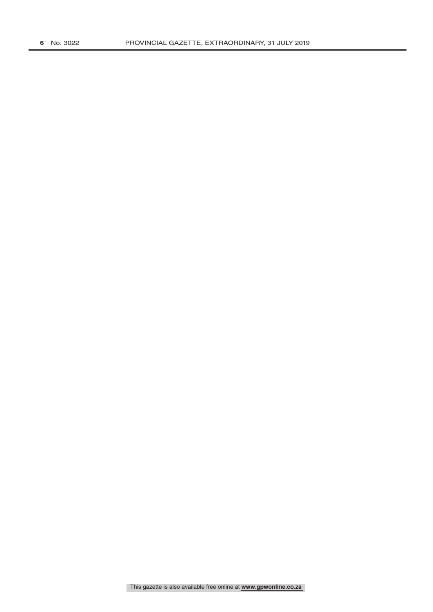This gazette is also available free online at **www.gpwonline.co.za**